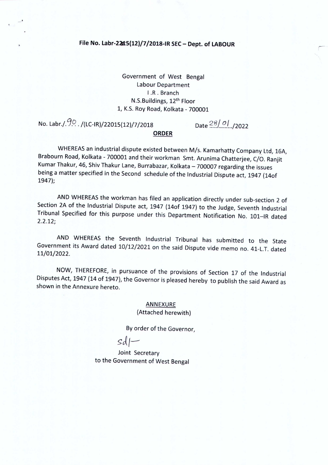## **File No. Labr-2221:5(12)/7/2018-IR SEC - Dept. of LABOUR**

Government of West Bengal Labour Department I .R . Branch N.S.Buildings, 12th Floor 1, K.S. Roy Road, Kolkata - 700001

No. Labr./. *CJp .* /{LC-IR)/22015{12)/7/2018

Date  $\frac{28}{01}$ /2022

### **ORDER**

WHEREAS an industrial dispute existed between M/s. Kamarhatty Company Ltd, 16A, Brabourn Road, Kolkata - 700001 and their workman Smt. Arunima Chatterjee, C/O. Ranjit Kumar Thakur, 46, Shiv Thakur Lane, Burrabazar, Kolkata - 700007 regarding the issues being a matter specified in the Second schedule of the Industrial Dispute act, 1947 (14of 1947);

AND WHEREAS the workman has filed an application directly under sub-section 2 of Section 2A of the Industrial Dispute act, 1947 (14of 1947) to the Judge, Seventh Industrial Tribunal Specified for this purpose under this Department Notification No. 101-IR dated 2.2.12;

AND WHEREAS the Seventh Industrial Tribunal has submitted to the State Government its Award dated 10/12/2021 on the said Dispute vide memo no. 41-L.T. dated 11/01/2022.

NOW, THEREFORE, in pursuance of the provisions of Section 17 of the Industrial Disputes Act, 1947 (14 of 1947), the Governor is pleased hereby to publish the said Award as shown in the Annexure hereto.

> ANNEXURE (Attached herewith)

By order of the Governor,

 $sd$ -

Joint Secretary to the Government of West Bengal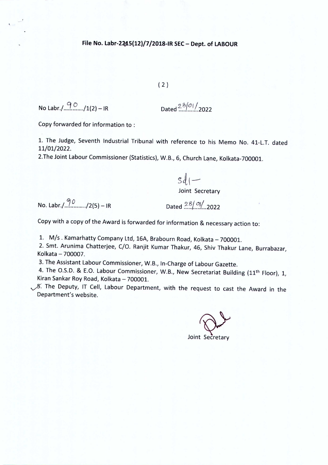# **File No. Labr-2¥5(12)/7/2018-IR SEC- Dept. of LABOUR**

 $(2)$ 

*qo* **No** Labr./. ./l(2) - **IR** *<sup>2</sup>'D{or I*

Dated  $28/01/2022$ 

Copy forwarded for information to :

1. The Judge, Seventh Industrial Tribunal with reference to his Memo No. 41-L.T. dated 11/01/2022.

2.The Joint Labour Commissioner (Statistics}, W.B., 6, Church Lane, Kolkata-700001.

 $sd -$ Joint Secretary

*No. Labr.*/.  $90$  ......../2(5) - IR Dated 28/01/...2022

Copy with a copy of the Award is forwarded for information & necessary action to:

1. M/s. Kamarhatty Company Ltd, 16A, Brabourn Road, Kolkata - 700001.

2. Smt. Arunima Chatterjee, C/O. Ranjit Kumar Thakur, 46, Shiv Thakur Lane, Burrabazar, Kolkata - 700007.

3. The Assistant Labour Commissioner, W.B., In-Charge of Labour Gazette.

4. The O.S.D. & E.O. Labour Commissioner, W.B., New Secretariat Building (11<sup>th</sup> Floor), 1, Kiran Sankar Roy Road, Kolkata - 700001.

 $\sqrt{3}$ . The Deputy, IT Cell, Labour Department, with the request to cast the Award in the Department's website.

Joint Secretary